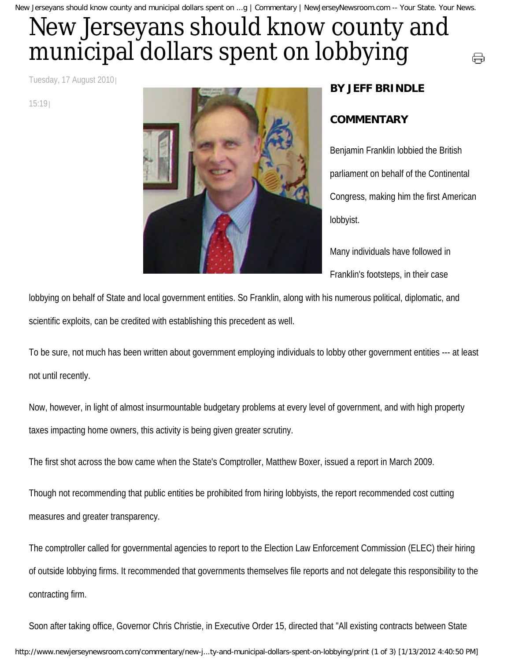## New Jerseyans should know county and municipal dollars spent on lobbying

Tuesday, 17 August 2010

15:19



## **BY JEFF BRINDLE**

## **COMMENTARY**

Benjamin Franklin lobbied the British parliament on behalf of the Continental Congress, making him the first American lobbyist.

⊖

Many individuals have followed in Franklin's footsteps, in their case

lobbying on behalf of State and local government entities. So Franklin, along with his numerous political, diplomatic, and scientific exploits, can be credited with establishing this precedent as well.

To be sure, not much has been written about government employing individuals to lobby other government entities --- at least not until recently.

Now, however, in light of almost insurmountable budgetary problems at every level of government, and with high property taxes impacting home owners, this activity is being given greater scrutiny.

The first shot across the bow came when the State's Comptroller, Matthew Boxer, issued a report in March 2009.

Though not recommending that public entities be prohibited from hiring lobbyists, the report recommended cost cutting measures and greater transparency.

The comptroller called for governmental agencies to report to the Election Law Enforcement Commission (ELEC) their hiring of outside lobbying firms. It recommended that governments themselves file reports and not delegate this responsibility to the contracting firm.

Soon after taking office, Governor Chris Christie, in Executive Order 15, directed that "All existing contracts between State http://www.newjerseynewsroom.com/commentary/new-j...ty-and-municipal-dollars-spent-on-lobbying/print (1 of 3) [1/13/2012 4:40:50 PM]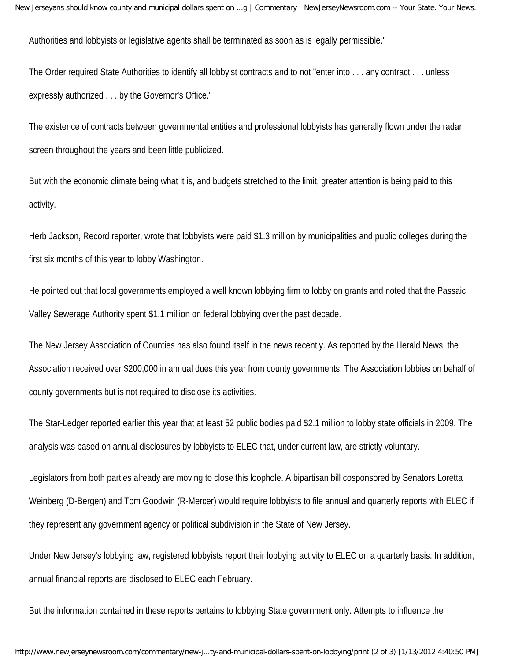Authorities and lobbyists or legislative agents shall be terminated as soon as is legally permissible."

The Order required State Authorities to identify all lobbyist contracts and to not "enter into . . . any contract . . . unless expressly authorized . . . by the Governor's Office."

The existence of contracts between governmental entities and professional lobbyists has generally flown under the radar screen throughout the years and been little publicized.

But with the economic climate being what it is, and budgets stretched to the limit, greater attention is being paid to this activity.

Herb Jackson, Record reporter, wrote that lobbyists were paid \$1.3 million by municipalities and public colleges during the first six months of this year to lobby Washington.

He pointed out that local governments employed a well known lobbying firm to lobby on grants and noted that the Passaic Valley Sewerage Authority spent \$1.1 million on federal lobbying over the past decade.

The New Jersey Association of Counties has also found itself in the news recently. As reported by the Herald News, the Association received over \$200,000 in annual dues this year from county governments. The Association lobbies on behalf of county governments but is not required to disclose its activities.

The Star-Ledger reported earlier this year that at least 52 public bodies paid \$2.1 million to lobby state officials in 2009. The analysis was based on annual disclosures by lobbyists to ELEC that, under current law, are strictly voluntary.

Legislators from both parties already are moving to close this loophole. A bipartisan bill cosponsored by Senators Loretta Weinberg (D-Bergen) and Tom Goodwin (R-Mercer) would require lobbyists to file annual and quarterly reports with ELEC if they represent any government agency or political subdivision in the State of New Jersey.

Under New Jersey's lobbying law, registered lobbyists report their lobbying activity to ELEC on a quarterly basis. In addition, annual financial reports are disclosed to ELEC each February.

But the information contained in these reports pertains to lobbying State government only. Attempts to influence the